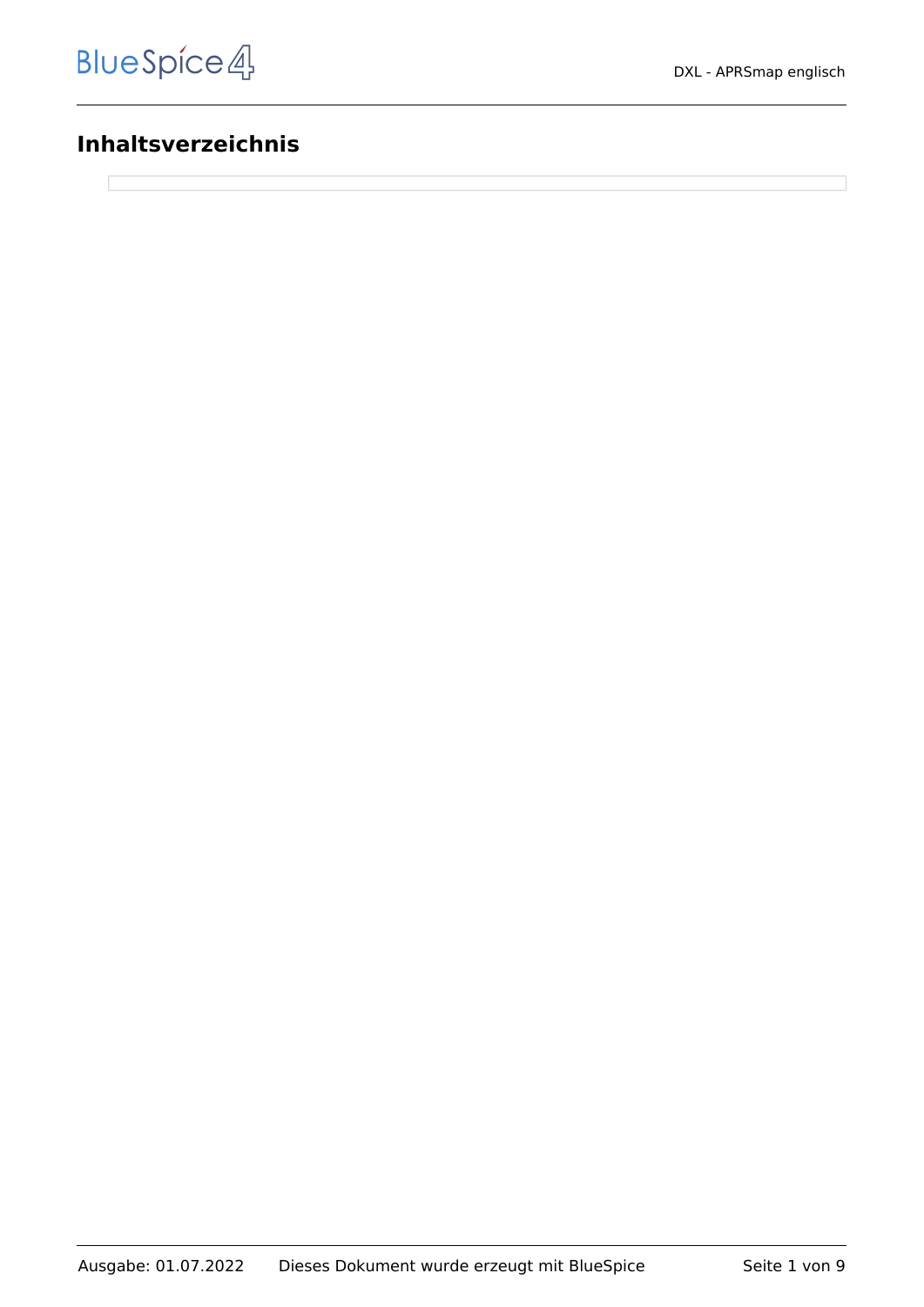### **Inhaltsverzeichnis**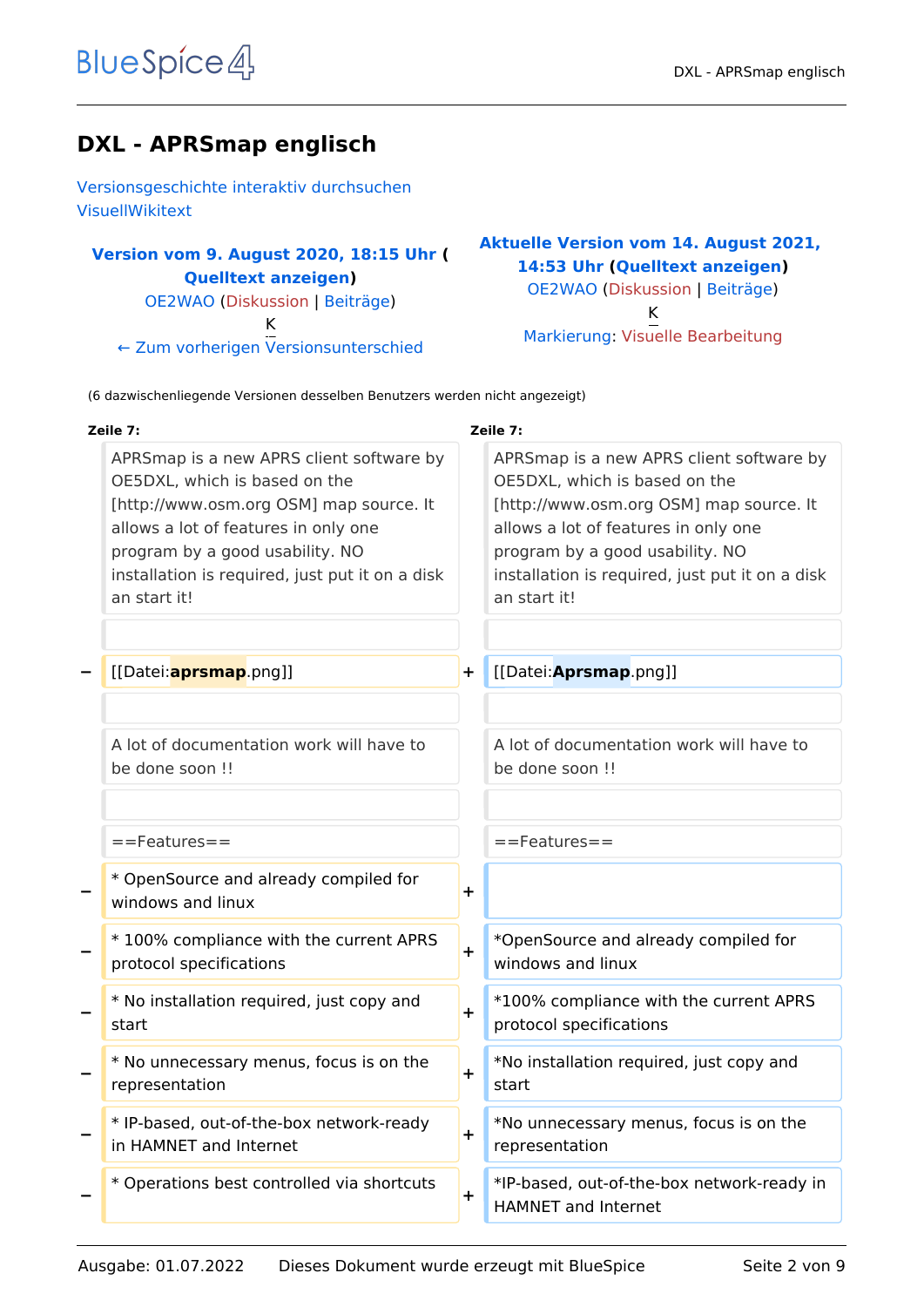### **DXL - APRSmap englisch**

[Versionsgeschichte interaktiv durchsuchen](https://wiki.oevsv.at) [VisuellWikitext](https://wiki.oevsv.at)

#### **[Version vom 9. August 2020, 18:15 Uhr](https://wiki.oevsv.at/w/index.php?title=DXL_-_APRSmap_englisch&oldid=15568) ( [Quelltext anzeigen](https://wiki.oevsv.at/w/index.php?title=DXL_-_APRSmap_englisch&action=edit&oldid=15568))** [OE2WAO](https://wiki.oevsv.at/wiki/Benutzer:OE2WAO) ([Diskussion](https://wiki.oevsv.at/w/index.php?title=Benutzer_Diskussion:OE2WAO&action=view) | [Beiträge](https://wiki.oevsv.at/wiki/Spezial:Beitr%C3%A4ge/OE2WAO)) K

[← Zum vorherigen Versionsunterschied](https://wiki.oevsv.at/w/index.php?title=DXL_-_APRSmap_englisch&diff=prev&oldid=15568)

#### **[Aktuelle Version vom 14. August 2021,](https://wiki.oevsv.at/w/index.php?title=DXL_-_APRSmap_englisch&oldid=19010)  [14:53 Uhr](https://wiki.oevsv.at/w/index.php?title=DXL_-_APRSmap_englisch&oldid=19010) [\(Quelltext anzeigen\)](https://wiki.oevsv.at/w/index.php?title=DXL_-_APRSmap_englisch&action=edit)** [OE2WAO](https://wiki.oevsv.at/wiki/Benutzer:OE2WAO) [\(Diskussion](https://wiki.oevsv.at/w/index.php?title=Benutzer_Diskussion:OE2WAO&action=view) | [Beiträge\)](https://wiki.oevsv.at/wiki/Spezial:Beitr%C3%A4ge/OE2WAO) K [Markierung](https://wiki.oevsv.at/wiki/Spezial:Markierungen): [Visuelle Bearbeitung](https://wiki.oevsv.at/w/index.php?title=Project:VisualEditor&action=view)

(6 dazwischenliegende Versionen desselben Benutzers werden nicht angezeigt)

| Zeile 7:                                                                                                                                                                                                                                                           |           | Zeile 7:                                                                                                                                                                                                                                                           |
|--------------------------------------------------------------------------------------------------------------------------------------------------------------------------------------------------------------------------------------------------------------------|-----------|--------------------------------------------------------------------------------------------------------------------------------------------------------------------------------------------------------------------------------------------------------------------|
| APRSmap is a new APRS client software by<br>OE5DXL, which is based on the<br>[http://www.osm.org OSM] map source. It<br>allows a lot of features in only one<br>program by a good usability. NO<br>installation is required, just put it on a disk<br>an start it! |           | APRSmap is a new APRS client software by<br>OE5DXL, which is based on the<br>[http://www.osm.org OSM] map source. It<br>allows a lot of features in only one<br>program by a good usability. NO<br>installation is required, just put it on a disk<br>an start it! |
| [[Datei: <b>aprsmap</b> .png]]                                                                                                                                                                                                                                     | $\ddot{}$ | [[Datei: Aprsmap.png]]                                                                                                                                                                                                                                             |
| A lot of documentation work will have to<br>be done soon !!                                                                                                                                                                                                        |           | A lot of documentation work will have to<br>be done soon !!                                                                                                                                                                                                        |
| ==Features==                                                                                                                                                                                                                                                       |           | $==$ Features $==$                                                                                                                                                                                                                                                 |
| * OpenSource and already compiled for<br>windows and linux                                                                                                                                                                                                         | $\ddot{}$ |                                                                                                                                                                                                                                                                    |
| *100% compliance with the current APRS<br>protocol specifications                                                                                                                                                                                                  | $\ddot{}$ | *OpenSource and already compiled for<br>windows and linux                                                                                                                                                                                                          |
| * No installation required, just copy and<br>start                                                                                                                                                                                                                 | $\ddot{}$ | *100% compliance with the current APRS<br>protocol specifications                                                                                                                                                                                                  |
| * No unnecessary menus, focus is on the<br>representation                                                                                                                                                                                                          | $\ddot{}$ | *No installation required, just copy and<br>start                                                                                                                                                                                                                  |
| * IP-based, out-of-the-box network-ready<br>in HAMNET and Internet                                                                                                                                                                                                 | $\pm$     | *No unnecessary menus, focus is on the<br>representation                                                                                                                                                                                                           |
| * Operations best controlled via shortcuts                                                                                                                                                                                                                         | $\pm$     | *IP-based, out-of-the-box network-ready in<br>HAMNET and Internet                                                                                                                                                                                                  |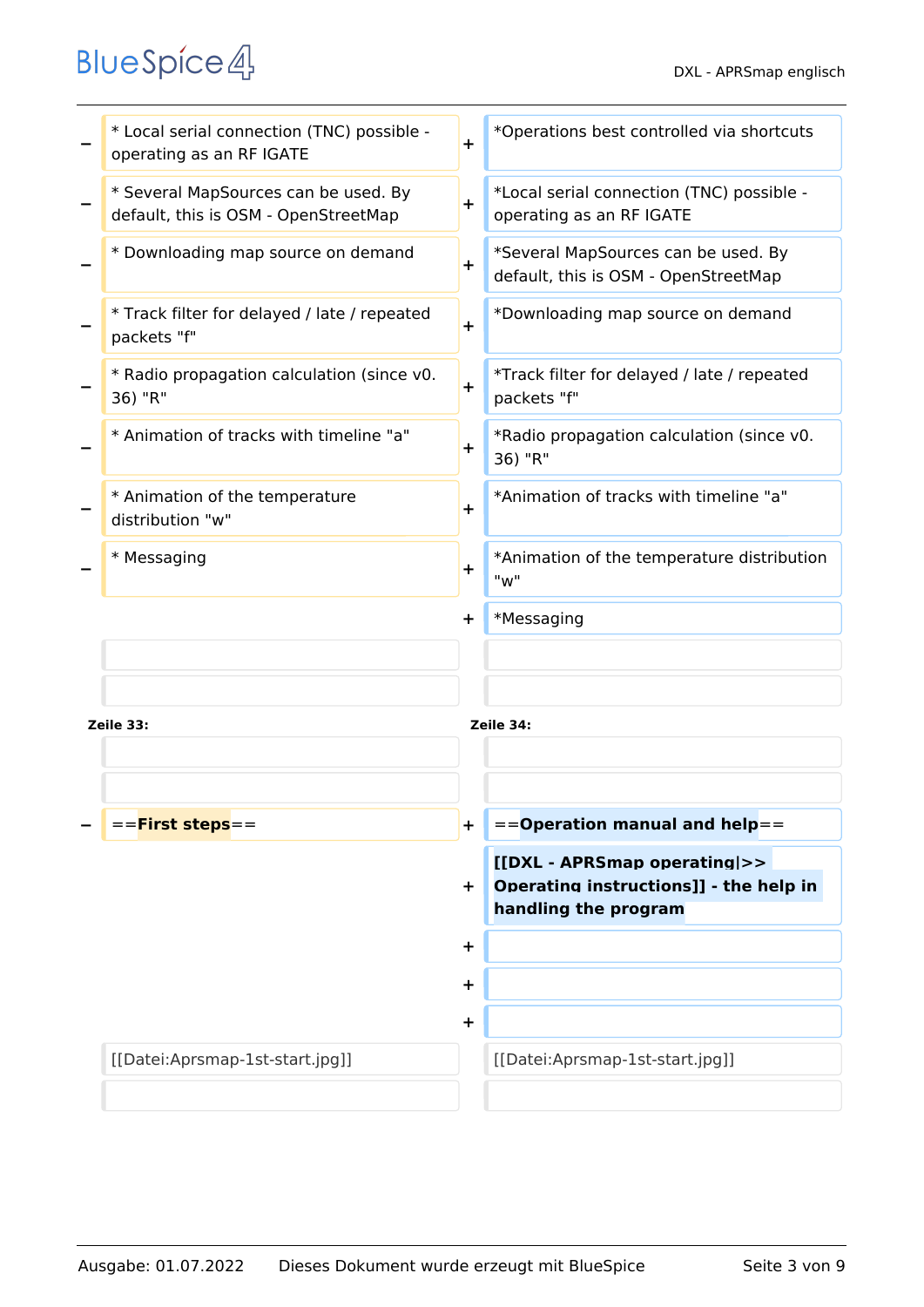|           | * Local serial connection (TNC) possible -<br>operating as an RF IGATE       | $\ddot{}$ | *Operations best controlled via shortcuts                                   |
|-----------|------------------------------------------------------------------------------|-----------|-----------------------------------------------------------------------------|
|           | * Several MapSources can be used. By<br>default, this is OSM - OpenStreetMap | $\ddot{}$ | *Local serial connection (TNC) possible -<br>operating as an RF IGATE       |
|           | * Downloading map source on demand                                           | $\ddot{}$ | *Several MapSources can be used. By<br>default, this is OSM - OpenStreetMap |
|           | * Track filter for delayed / late / repeated<br>packets "f"                  | $\ddot{}$ | *Downloading map source on demand                                           |
|           | * Radio propagation calculation (since v0.<br>36) "R"                        | $\ddot{}$ | *Track filter for delayed / late / repeated<br>packets "f"                  |
|           | * Animation of tracks with timeline "a"                                      | $\ddot{}$ | *Radio propagation calculation (since v0.<br>36) "R"                        |
|           | * Animation of the temperature<br>distribution "w"                           | $\ddot{}$ | *Animation of tracks with timeline "a"                                      |
|           | * Messaging                                                                  | $\ddot{}$ | *Animation of the temperature distribution<br>"w"                           |
|           |                                                                              | $\ddot{}$ | *Messaging                                                                  |
|           |                                                                              |           |                                                                             |
| Zeile 33: |                                                                              |           | Zeile 34:                                                                   |
|           |                                                                              |           |                                                                             |
|           |                                                                              |           |                                                                             |
|           | == <b>First steps</b> ==                                                     | $\pm$     | $=$ =Operation manual and help==                                            |
|           |                                                                              |           | [[DXL - APRSmap operating >>                                                |
|           |                                                                              | ÷.        | Operating instructions]] - the help in<br>handling the program              |
|           |                                                                              | $\ddot{}$ |                                                                             |
|           |                                                                              | $\ddot{}$ |                                                                             |
|           |                                                                              | $\ddot{}$ |                                                                             |
|           | [[Datei:Aprsmap-1st-start.jpg]]                                              |           | [[Datei:Aprsmap-1st-start.jpg]]                                             |
|           |                                                                              |           |                                                                             |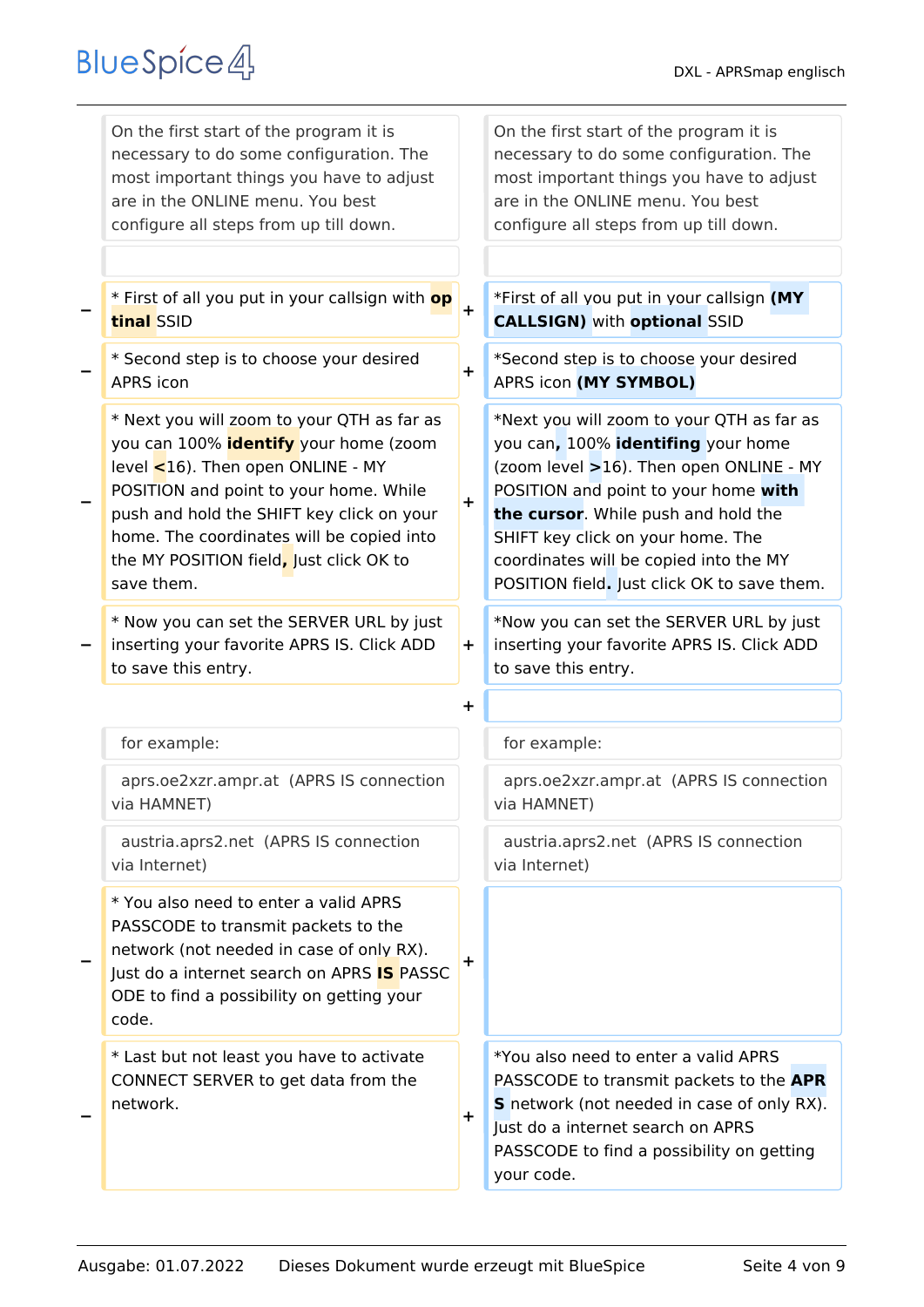| On the first start of the program it is<br>necessary to do some configuration. The<br>most important things you have to adjust<br>are in the ONLINE menu. You best<br>configure all steps from up till down.                                                                                                                       |            | On the first start of the program it is<br>necessary to do some configuration. The<br>most important things you have to adjust<br>are in the ONLINE menu. You best<br>configure all steps from up till down.                                                                                                                            |
|------------------------------------------------------------------------------------------------------------------------------------------------------------------------------------------------------------------------------------------------------------------------------------------------------------------------------------|------------|-----------------------------------------------------------------------------------------------------------------------------------------------------------------------------------------------------------------------------------------------------------------------------------------------------------------------------------------|
| * First of all you put in your callsign with <b>op</b><br>tinal SSID                                                                                                                                                                                                                                                               | $\ddot{}$  | *First of all you put in your callsign (MY<br><b>CALLSIGN)</b> with <b>optional</b> SSID                                                                                                                                                                                                                                                |
| * Second step is to choose your desired<br><b>APRS</b> icon                                                                                                                                                                                                                                                                        | $\ddot{}$  | *Second step is to choose your desired<br>APRS icon (MY SYMBOL)                                                                                                                                                                                                                                                                         |
| * Next you will zoom to your QTH as far as<br>you can 100% <i>identify</i> your home (zoom<br>level $\leq$ 16). Then open ONLINE - MY<br>POSITION and point to your home. While<br>push and hold the SHIFT key click on your<br>home. The coordinates will be copied into<br>the MY POSITION field, Just click OK to<br>save them. | $\ddagger$ | *Next you will zoom to your QTH as far as<br>you can, 100% identifing your home<br>(zoom level >16). Then open ONLINE - MY<br>POSITION and point to your home with<br>the cursor. While push and hold the<br>SHIFT key click on your home. The<br>coordinates will be copied into the MY<br>POSITION field. Just click OK to save them. |
| * Now you can set the SERVER URL by just<br>inserting your favorite APRS IS. Click ADD<br>to save this entry.                                                                                                                                                                                                                      | $+$        | *Now you can set the SERVER URL by just<br>inserting your favorite APRS IS. Click ADD<br>to save this entry.                                                                                                                                                                                                                            |
|                                                                                                                                                                                                                                                                                                                                    | ┿          |                                                                                                                                                                                                                                                                                                                                         |
| for example:                                                                                                                                                                                                                                                                                                                       |            | for example:                                                                                                                                                                                                                                                                                                                            |
| aprs.oe2xzr.ampr.at (APRS IS connection<br>via HAMNET)                                                                                                                                                                                                                                                                             |            | aprs.oe2xzr.ampr.at (APRS IS connection<br>via HAMNET)                                                                                                                                                                                                                                                                                  |
| austria.aprs2.net (APRS IS connection<br>via Internet)                                                                                                                                                                                                                                                                             |            | austria.aprs2.net (APRS IS connection<br>via Internet)                                                                                                                                                                                                                                                                                  |
| * You also need to enter a valid APRS<br>PASSCODE to transmit packets to the<br>network (not needed in case of only RX).<br>Just do a internet search on APRS <b>IS</b> PASSC<br>ODE to find a possibility on getting your<br>code.                                                                                                | +          |                                                                                                                                                                                                                                                                                                                                         |
| * Last but not least you have to activate<br>CONNECT SERVER to get data from the<br>network.                                                                                                                                                                                                                                       | ÷.         | *You also need to enter a valid APRS<br>PASSCODE to transmit packets to the APR<br>S network (not needed in case of only RX).<br>Just do a internet search on APRS<br>PASSCODE to find a possibility on getting<br>your code.                                                                                                           |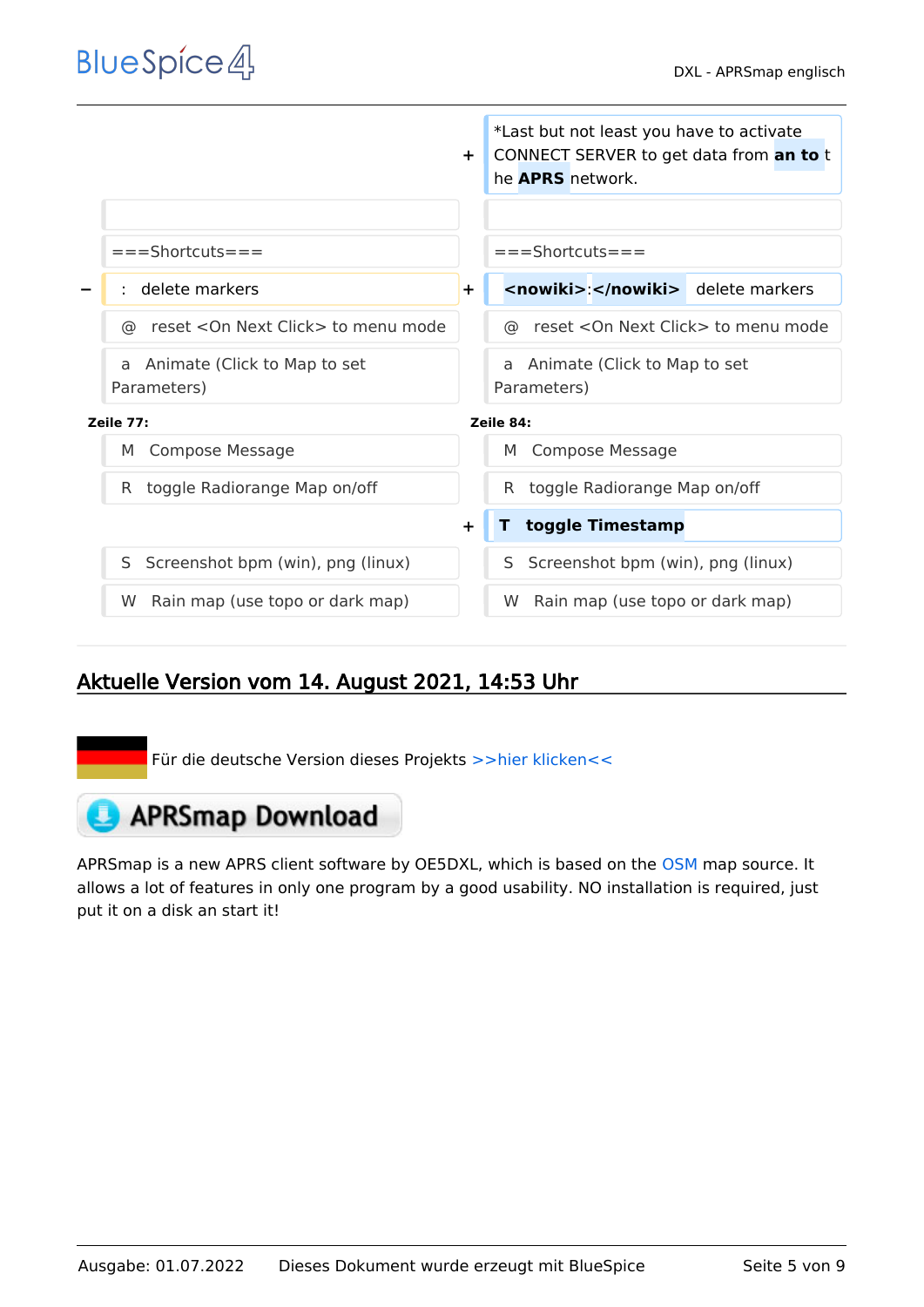|                                      | *Last but not least you have to activate<br>CONNECT SERVER to get data from an to t<br>$\pm$<br>he <b>APRS</b> network. |
|--------------------------------------|-------------------------------------------------------------------------------------------------------------------------|
|                                      |                                                                                                                         |
| $===Shortcuts===$                    | $===Shortcuts===$                                                                                                       |
| delete markers                       | <nowiki>:</nowiki> delete markers<br>$\ddot{\phantom{1}}$                                                               |
| reset < On Next Click > to menu mode | reset < On Next Click > to menu mode                                                                                    |
| ര                                    | ര                                                                                                                       |
| Animate (Click to Map to set         | Animate (Click to Map to set                                                                                            |
| a                                    | a                                                                                                                       |
| Parameters)                          | Parameters)                                                                                                             |
| Zeile 77:                            | Zeile 84:                                                                                                               |
| <b>Compose Message</b>               | <b>Compose Message</b>                                                                                                  |
| M                                    | M                                                                                                                       |
| toggle Radiorange Map on/off         | toggle Radiorange Map on/off                                                                                            |
| R.                                   | R.                                                                                                                      |
|                                      | toggle Timestamp<br>$\pm$                                                                                               |
| Screenshot bpm (win), png (linux)    | Screenshot bpm (win), png (linux)                                                                                       |
| S                                    | S.                                                                                                                      |
| Rain map (use topo or dark map)      | Rain map (use topo or dark map)                                                                                         |
| W                                    | W.                                                                                                                      |

### Aktuelle Version vom 14. August 2021, 14:53 Uhr

Für die deutsche Version dieses Projekts [>>hier klicken<<](https://wiki.oevsv.at/wiki/DXL_-_APRSmap)

## **APRSmap Download**

APRSmap is a new APRS client software by OE5DXL, which is based on the [OSM](http://www.osm.org) map source. It allows a lot of features in only one program by a good usability. NO installation is required, just put it on a disk an start it!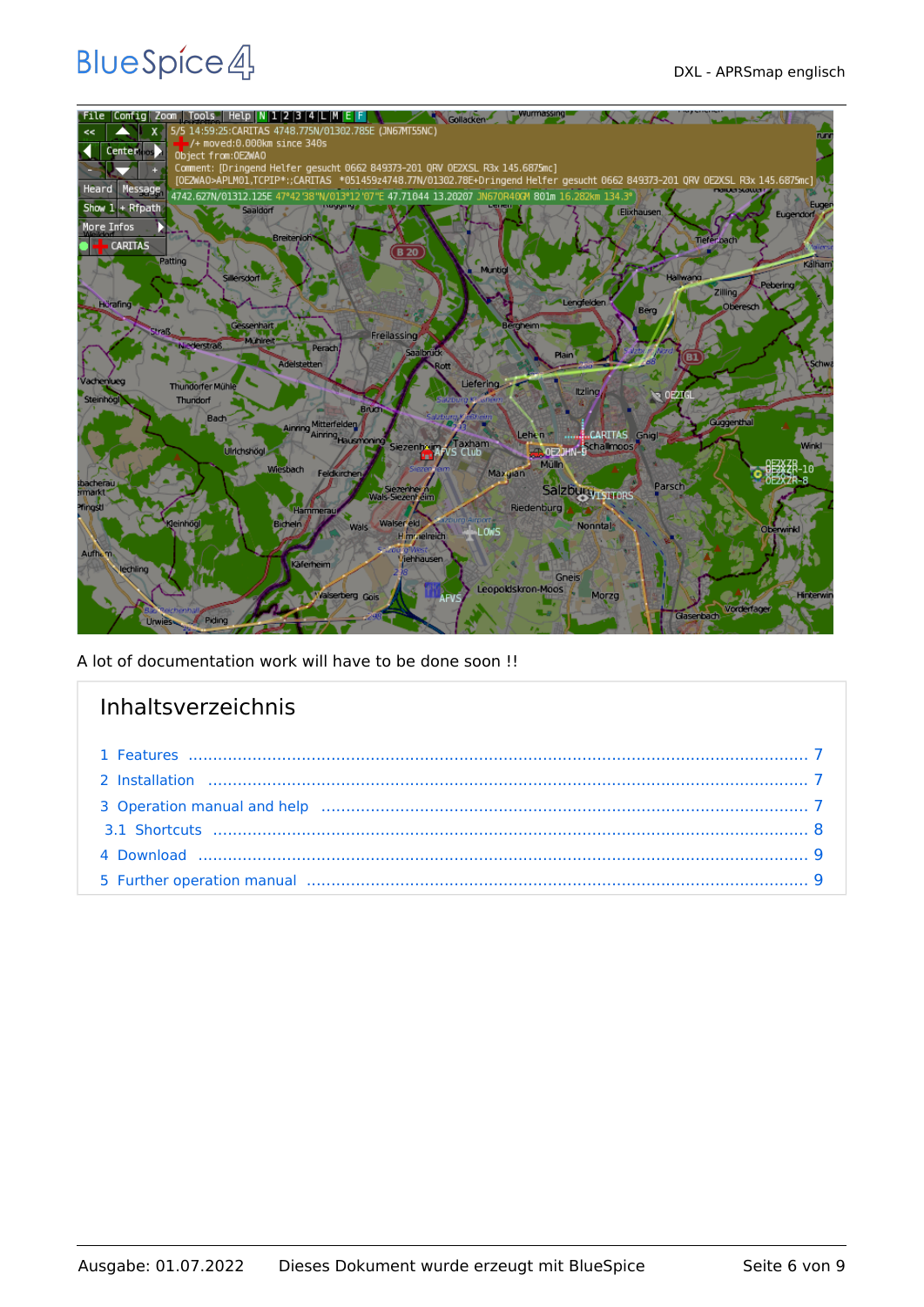

A lot of documentation work will have to be done soon !!

| Inhaltsverzeichnis |  |
|--------------------|--|
|                    |  |
|                    |  |
|                    |  |
|                    |  |
|                    |  |
|                    |  |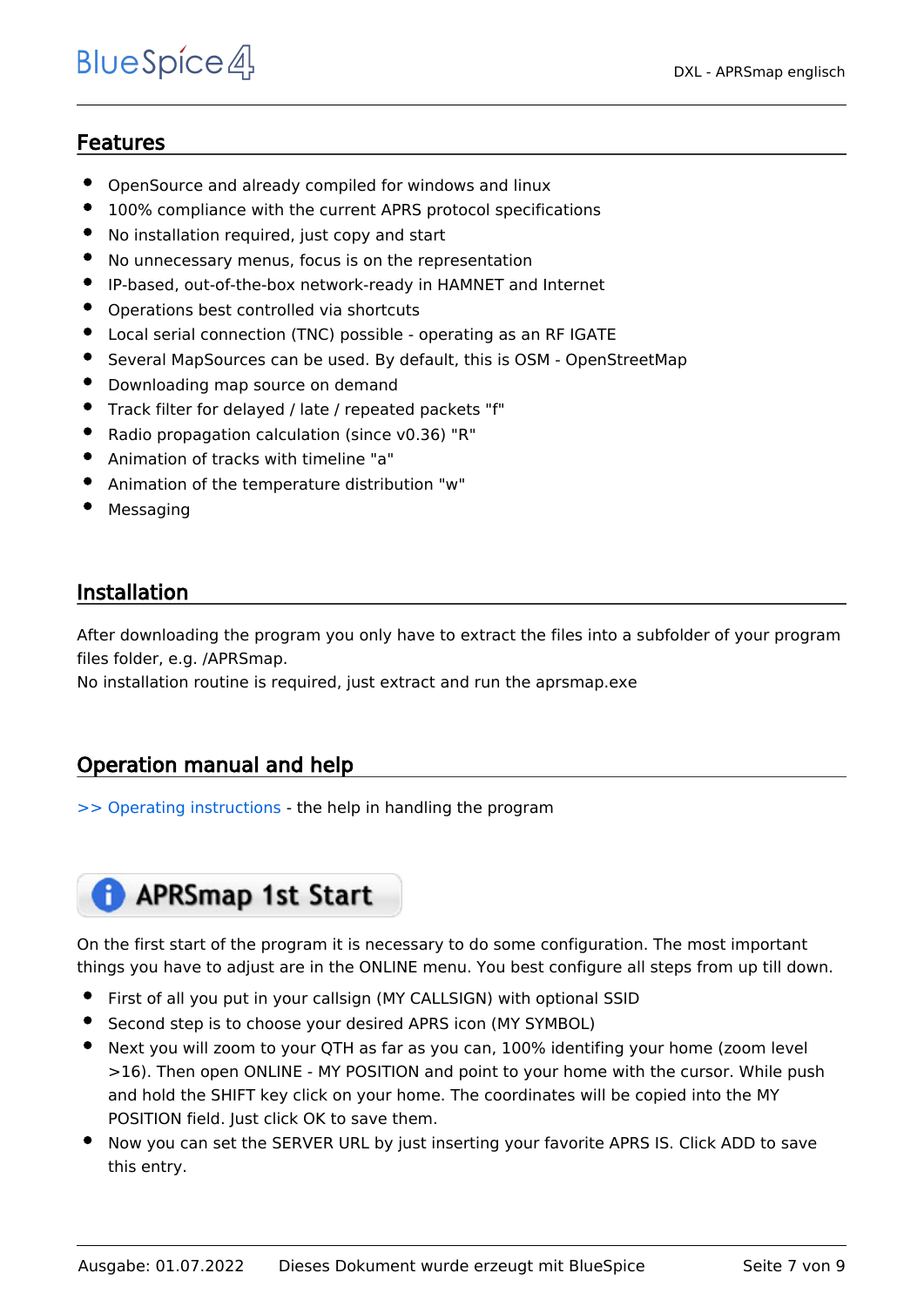### <span id="page-6-0"></span>Features

- OpenSource and already compiled for windows and linux
- 100% compliance with the current APRS protocol specifications
- No installation required, just copy and start
- No unnecessary menus, focus is on the representation
- IP-based, out-of-the-box network-ready in HAMNET and Internet
- Operations best controlled via shortcuts
- Local serial connection (TNC) possible operating as an RF IGATE
- Several MapSources can be used. By default, this is OSM OpenStreetMap
- Downloading map source on demand
- Track filter for delayed / late / repeated packets "f"
- Radio propagation calculation (since v0.36) "R"
- Animation of tracks with timeline "a"
- Animation of the temperature distribution "w"
- Messaging

### <span id="page-6-1"></span>Installation

After downloading the program you only have to extract the files into a subfolder of your program files folder, e.g. /APRSmap.

No installation routine is required, just extract and run the aprsmap.exe

#### <span id="page-6-2"></span>Operation manual and help

[>> Operating instructions](https://wiki.oevsv.at/wiki/DXL_-_APRSmap_operating) - the help in handling the program

### **APRSmap 1st Start**

On the first start of the program it is necessary to do some configuration. The most important things you have to adjust are in the ONLINE menu. You best configure all steps from up till down.

- First of all you put in your callsign (MY CALLSIGN) with optional SSID
- Second step is to choose your desired APRS icon (MY SYMBOL)
- Next you will zoom to your QTH as far as you can, 100% identifing your home (zoom level >16). Then open ONLINE - MY POSITION and point to your home with the cursor. While push and hold the SHIFT key click on your home. The coordinates will be copied into the MY POSITION field. Just click OK to save them.
- Now you can set the SERVER URL by just inserting your favorite APRS IS. Click ADD to save this entry.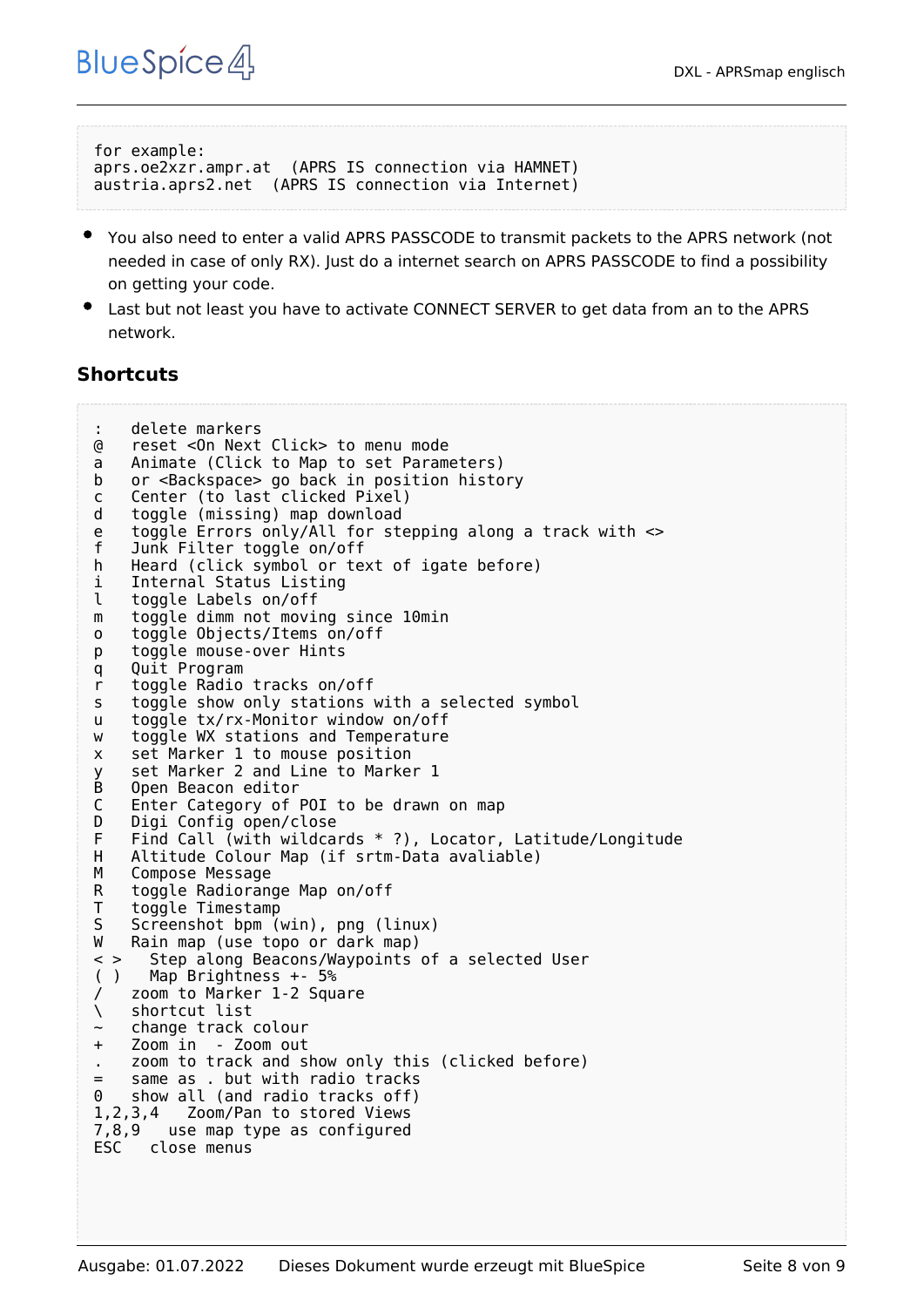```
for example:
aprs.oe2xzr.ampr.at (APRS IS connection via HAMNET)
austria.aprs2.net (APRS IS connection via Internet)
```
- You also need to enter a valid APRS PASSCODE to transmit packets to the APRS network (not needed in case of only RX). Just do a internet search on APRS PASSCODE to find a possibility on getting your code.
- Last but not least you have to activate CONNECT SERVER to get data from an to the APRS network.

#### <span id="page-7-0"></span>**Shortcuts**

```
: delete markers
@ reset <On Next Click> to menu mode
a Animate (Click to Map to set Parameters)
b or <Backspace> go back in position history
c Center (to last clicked Pixel)
d toggle (missing) map download
e toggle Errors only/All for stepping along a track with <>
f Junk Filter toggle on/off
h Heard (click symbol or text of igate before)
i Internal Status Listing
l toggle Labels on/off
m toggle dimm not moving since 10min
o toggle Objects/Items on/off
p toggle mouse-over Hints
q Quit Program
r toggle Radio tracks on/off
s toggle show only stations with a selected symbol
u toggle tx/rx-Monitor window on/off
w toggle WX stations and Temperature
x set Marker 1 to mouse position
y set Marker 2 and Line to Marker 1
B Open Beacon editor<br>C Enter Category of
C Enter Category of POI to be drawn on map
D Digi Config open/close<br>F Find Call (with wildca
F Find Call (with wildcards * ?), Locator, Latitude/Longitude<br>H Altitude Colour Map (if srtm-Data avaliable)
H Altitude Colour Map (if srtm-Data avaliable)
M Compose Message<br>R toggle Radiorano
    toggle Radiorange Map on/off
T toggle Timestamp<br>S Screenshot bpm (
S Screenshot bpm (win), png (linux)<br>W Rain map (use topo or dark map)
W Rain map (use topo or dark map)<br>
\leq > Step along Beacons/Wavpoints
      Step along Beacons/Waypoints of a selected User
( ) Map Brightness +- 5%
    zoom to Marker 1-2 Square
\ shortcut list
    ~ change track colour
+ Zoom in - Zoom out
    . zoom to track and show only this (clicked before)
= same as . but with radio tracks
0 show all (and radio tracks off)
1,2,3,4 Zoom/Pan to stored Views
7,8,9 use map type as configured
      close menus
```